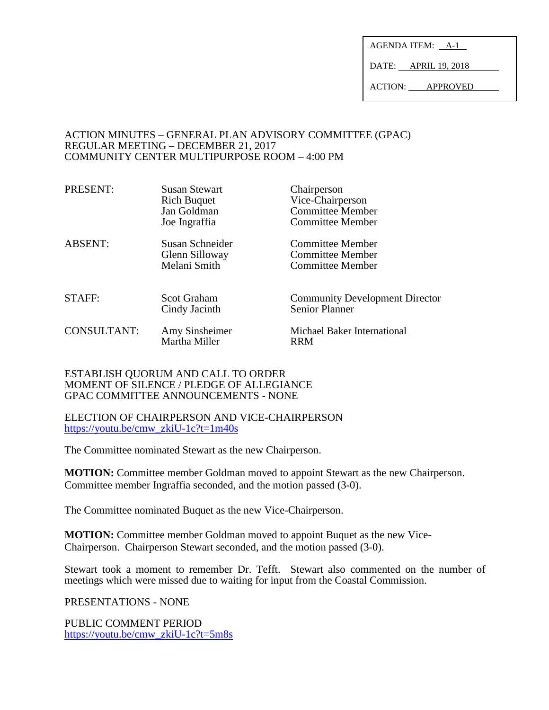AGENDA ITEM:  $A-1$ 

DATE: APRIL 19, 2018

ACTION: APPROVED

#### ACTION MINUTES – GENERAL PLAN ADVISORY COMMITTEE (GPAC) REGULAR MEETING – DECEMBER 21, 2017 COMMUNITY CENTER MULTIPURPOSE ROOM – 4:00 PM

| PRESENT:           | <b>Susan Stewart</b><br><b>Rich Buquet</b><br>Jan Goldman<br>Joe Ingraffia | Chairperson<br>Vice-Chairperson<br><b>Committee Member</b><br><b>Committee Member</b> |
|--------------------|----------------------------------------------------------------------------|---------------------------------------------------------------------------------------|
| <b>ABSENT:</b>     | Susan Schneider<br>Glenn Silloway<br>Melani Smith                          | Committee Member<br><b>Committee Member</b><br><b>Committee Member</b>                |
| <b>STAFF:</b>      | <b>Scot Graham</b><br>Cindy Jacinth                                        | <b>Community Development Director</b><br><b>Senior Planner</b>                        |
| <b>CONSULTANT:</b> | Amy Sinsheimer<br>Martha Miller                                            | Michael Baker International<br><b>RRM</b>                                             |

#### ESTABLISH QUORUM AND CALL TO ORDER MOMENT OF SILENCE / PLEDGE OF ALLEGIANCE GPAC COMMITTEE ANNOUNCEMENTS - NONE

ELECTION OF CHAIRPERSON AND VICE-CHAIRPERSON [https://youtu.be/cmw\\_zkiU-1c?t=1m40s](https://youtu.be/cmw_zkiU-1c?t=1m40s)

The Committee nominated Stewart as the new Chairperson.

**MOTION:** Committee member Goldman moved to appoint Stewart as the new Chairperson. Committee member Ingraffia seconded, and the motion passed (3-0).

The Committee nominated Buquet as the new Vice-Chairperson.

**MOTION:** Committee member Goldman moved to appoint Buquet as the new Vice-Chairperson. Chairperson Stewart seconded, and the motion passed (3-0).

Stewart took a moment to remember Dr. Tefft. Stewart also commented on the number of meetings which were missed due to waiting for input from the Coastal Commission.

PRESENTATIONS - NONE

PUBLIC COMMENT PERIOD [https://youtu.be/cmw\\_zkiU-1c?t=5m8s](https://youtu.be/cmw_zkiU-1c?t=5m8s)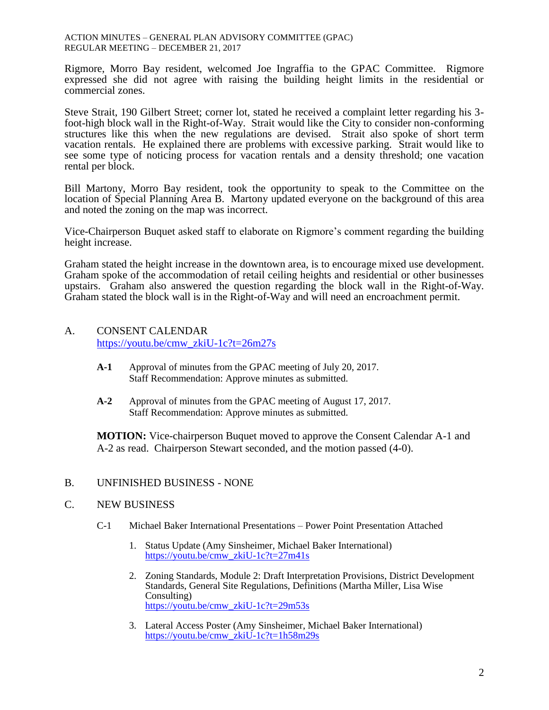#### ACTION MINUTES – GENERAL PLAN ADVISORY COMMITTEE (GPAC) REGULAR MEETING – DECEMBER 21, 2017

Rigmore, Morro Bay resident, welcomed Joe Ingraffia to the GPAC Committee. Rigmore expressed she did not agree with raising the building height limits in the residential or commercial zones.

Steve Strait, 190 Gilbert Street; corner lot, stated he received a complaint letter regarding his 3 foot-high block wall in the Right-of-Way. Strait would like the City to consider non-conforming structures like this when the new regulations are devised. Strait also spoke of short term vacation rentals. He explained there are problems with excessive parking. Strait would like to see some type of noticing process for vacation rentals and a density threshold; one vacation rental per block.

Bill Martony, Morro Bay resident, took the opportunity to speak to the Committee on the location of Special Planning Area B. Martony updated everyone on the background of this area and noted the zoning on the map was incorrect.

Vice-Chairperson Buquet asked staff to elaborate on Rigmore's comment regarding the building height increase.

Graham stated the height increase in the downtown area, is to encourage mixed use development. Graham spoke of the accommodation of retail ceiling heights and residential or other businesses upstairs. Graham also answered the question regarding the block wall in the Right-of-Way. Graham stated the block wall is in the Right-of-Way and will need an encroachment permit.

# A. CONSENT CALENDAR [https://youtu.be/cmw\\_zkiU-1c?t=26m27s](https://youtu.be/cmw_zkiU-1c?t=26m27s)

- **A-1** Approval of minutes from the GPAC meeting of July 20, 2017. Staff Recommendation: Approve minutes as submitted.
- **A-2** Approval of minutes from the GPAC meeting of August 17, 2017. Staff Recommendation: Approve minutes as submitted.

**MOTION:** Vice-chairperson Buquet moved to approve the Consent Calendar A-1 and A-2 as read. Chairperson Stewart seconded, and the motion passed (4-0).

## B. UNFINISHED BUSINESS - NONE

## C. NEW BUSINESS

- C-1 Michael Baker International Presentations Power Point Presentation Attached
	- 1. Status Update (Amy Sinsheimer, Michael Baker International) [https://youtu.be/cmw\\_zkiU-1c?t=27m41s](https://youtu.be/cmw_zkiU-1c?t=27m41s)
	- 2. Zoning Standards, Module 2: Draft Interpretation Provisions, District Development Standards, General Site Regulations, Definitions (Martha Miller, Lisa Wise Consulting) [https://youtu.be/cmw\\_zkiU-1c?t=29m53s](https://youtu.be/cmw_zkiU-1c?t=29m53s)
	- 3. Lateral Access Poster (Amy Sinsheimer, Michael Baker International) [https://youtu.be/cmw\\_zkiU-1c?t=1h58m29s](https://youtu.be/cmw_zkiU-1c?t=1h58m29s)